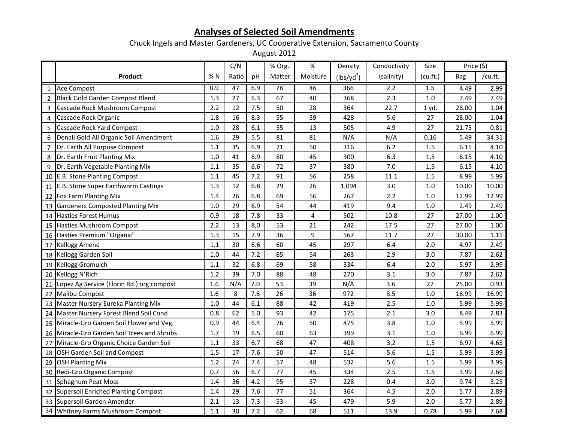## **Analyses of Selected Soil Amendments**

## Chuck Ingels and Master Gardeners, UC Cooperative Extension, Sacramento County

August 2012

|                |                                            |         | C/N   |     | % Org. | $\%$           | Density      | Conductivity | <b>Size</b> | Price (\$) |         |
|----------------|--------------------------------------------|---------|-------|-----|--------|----------------|--------------|--------------|-------------|------------|---------|
|                | Product                                    | % N     | Ratio | pH  | Matter | Moisture       | $(lbs/yd^3)$ | (salinity)   | (cu.fit.)   | Bag        | /cu.ft. |
| $\mathbf{1}$   | <b>Ace Compost</b>                         | 0.9     | 47    | 6.9 | 78     | 46             | 366          | 2.2          | 1.5         | 4.49       | 2.99    |
| 2              | <b>Black Gold Garden Compost Blend</b>     | 1.3     | 27    | 6.3 | 67     | 40             | 368          | 2.3          | 1.0         | 7.49       | 7.49    |
| 3              | Cascade Rock Mushroom Compost              | 2.2     | 12    | 7.5 | 50     | 28             | 364          | 22.7         | $1$ yd      | 28.00      | 1.04    |
| 4              | Cascade Rock Organic                       | 1.8     | 16    | 8.3 | 55     | 39             | 428          | 5.6          | 27          | 28.00      | 1.04    |
| 5              | Cascade Rock Yard Compost                  | 1.0     | 28    | 6.1 | 55     | 13             | 505          | 4.9          | 27          | 21.75      | 0.81    |
| 6              | Denali Gold All Organic Soil Amendment     | 1.6     | 29    | 5.5 | 81     | 81             | N/A          | N/A          | 0.16        | 5.49       | 34.31   |
| $\overline{7}$ | Dr. Earth All Purpose Compost              | 1.1     | 35    | 6.9 | 71     | 50             | 316          | 6.2          | 1.5         | 6.15       | 4.10    |
| 8              | Dr. Earth Fruit Planting Mix               | $1.0$   | 41    | 6.9 | 80     | 45             | 300          | 6.3          | 1.5         | 6.15       | 4.10    |
| 9              | Dr. Earth Vegetable Planting Mix           | 1.1     | 35    | 6.6 | 72     | 37             | 380          | 7.0          | 1.5         | 6.15       | 4.10    |
| 10             | E.B. Stone Planting Compost                | 1.1     | 45    | 7.2 | 91     | 56             | 258          | 11.1         | 1.5         | 8.99       | 5.99    |
| 11             | E.B. Stone Super Earthworm Castings        | 1.3     | 12    | 6.8 | 29     | 26             | 1,094        | 3.0          | 1.0         | 10.00      | 10.00   |
| 12             | Fox Farm Planting Mix                      | 1.4     | 26    | 6.8 | 69     | 56             | 267          | 2.2          | 1.0         | 12.99      | 12.99   |
| 13             | <b>Gardeners Composted Planting Mix</b>    | 1.0     | 29    | 6.9 | 54     | 44             | 419          | 9.4          | 1.0         | 2.49       | 2.49    |
| 14             | <b>Hasties Forest Humus</b>                | 0.9     | 18    | 7.8 | 33     | $\overline{4}$ | 502          | 10.8         | 27          | 27.00      | 1.00    |
| 15             | <b>Hasties Mushroom Compost</b>            | 2.2     | 13    | 8,0 | 53     | 21             | 242          | 17.5         | 27          | 27.00      | 1.00    |
| 16             | Hasties Premium "Organic"                  | 1.3     | 15    | 7.9 | 36     | 9              | 567          | 11.7         | 27          | 30.00      | 1.11    |
| 17             | <b>Kellogg Amend</b>                       | 1.1     | 30    | 6.6 | 60     | 45             | 297          | 6.4          | 2.0         | 4.97       | 2.49    |
| 18             | Kellogg Garden Soil                        | 1.0     | 44    | 7.2 | 85     | 54             | 263          | 2.9          | 3.0         | 7.87       | 2.62    |
| 19             | Kellogg Gromulch                           | 1.1     | 32    | 6.8 | 69     | 58             | 334          | 6.4          | 2.0         | 5.97       | 2.99    |
| 20             | Kellogg N'Rich                             | 1.2     | 39    | 7.0 | 88     | 48             | 270          | 3.1          | 3.0         | 7.87       | 2.62    |
| 21             | Lopez Ag Service (Florin Rd.) org compost  | 1.6     | N/A   | 7.0 | 53     | 39             | N/A          | 3.6          | 27          | 25.00      | 0.93    |
| 22             | Malibu Compost                             | 1.6     | 8     | 7.6 | 26     | 36             | 972          | 8.5          | 1.0         | 16.99      | 16.99   |
| 23             | Master Nursery Eureka Planting Mix         | 1.0     | 44    | 6.1 | 88     | 42             | 419          | 2.5          | 1.0         | 5.99       | 5.99    |
| 24             | Master Nursery Forest Blend Soil Cond      | 0.8     | 62    | 5.0 | 93     | 42             | 175          | 2.1          | 3.0         | 8.49       | 2.83    |
| 25             | Miracle-Gro Garden Soil Flower and Veg.    | 0.9     | 44    | 6.4 | 76     | 50             | 475          | 3.8          | 1.0         | 5.99       | 5.99    |
| 26             | Miracle-Gro Garden Soil Trees and Shrubs   | 1.7     | 19    | 6.5 | 60     | 63             | 399          | 3.1          | 1.0         | 6.99       | 6.99    |
| 27             | Miracle-Gro Organic Choice Garden Soil     | 1.1     | 33    | 6.7 | 68     | 47             | 408          | 3.2          | 1.5         | 6.97       | 4.65    |
| 28             | OSH Garden Soil and Compost                | 1.5     | 17    | 7.6 | 50     | 47             | 514          | 5.6          | 1.5         | 5.99       | 3.99    |
| 29             | <b>OSH Planting Mix</b>                    | 1.2     | 24    | 7.4 | 57     | 48             | 532          | 5.6          | 1.5         | 5.99       | 3.99    |
| 30             | Redi-Gro Organic Compost                   | 0.7     | 56    | 6.7 | 77     | 45             | 334          | 2.5          | 1.5         | 3.99       | 2.66    |
| 31             | Sphagnum Peat Moss                         | 1.4     | 36    | 4.2 | 95     | 37             | 228          | 0.4          | 3.0         | 9.74       | 3.25    |
| 32             | <b>Supersoil Enriched Planting Compost</b> | 1.4     | 29    | 7.6 | 77     | 51             | 364          | 4.5          | 2.0         | 5.77       | 2.89    |
|                | 33 Supersoil Garden Amender                | 2.1     | 13    | 7.3 | 53     | 45             | 479          | 5.9          | 2.0         | 5.77       | 2.89    |
|                | 34 Whitney Farms Mushroom Compost          | $1.1\,$ | 30    | 7.2 | 62     | 68             | 511          | 13.9         | 0.78        | 5.99       | 7.68    |